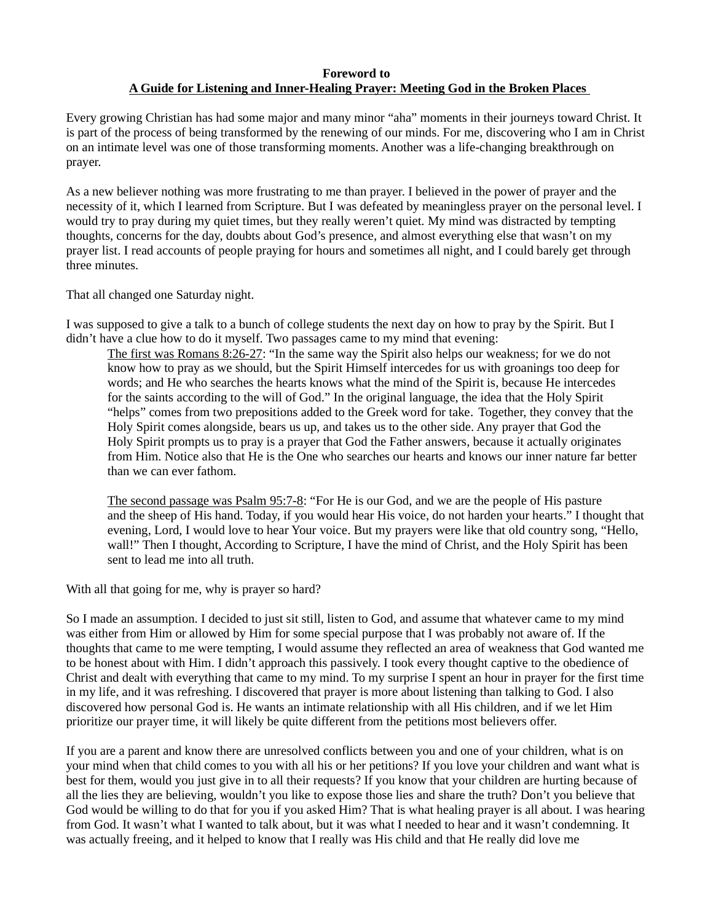## Foreword to A Guide for Listening and Inner-Healing Prayer: Meeting God in the Broken Places

Every growing Christian has had some major and many minor "aha" moments in their journeys toward Christ. It is part of the process of being transformed by the renewing of our minds. For me, discovering who I am in Christ on an intimate level was one of those transforming moments. Another was a life-changing breakthrough on prayer.

As a new believer nothing was more frustrating to me than prayer. I believed in the power of prayer and the necessity of it, which I learned from Scripture. But I was defeated by meaningless prayer on the personal level. I would try to pray during my quiet times, but they really weren't quiet. My mind was distracted by tempting thoughts, concerns for the day, doubts about God's presence, and almost everything else that wasn't on my prayer list. I read accounts of people praying for hours and sometimes all night, and I could barely get through three minutes.

That all changed one Saturday night.

I was supposed to give a talk to a bunch of college students the next day on how to pray by the Spirit. But I didn't have a clue how to do it myself. Two passages came to my mind that evening:

The first was Romans 8:26-27: "In the same way the Spirit also helps our weakness; for we do not know how to pray as we should, but the Spirit Himself intercedes for us with groanings too deep for words; and He who searches the hearts knows what the mind of the Spirit is, because He intercedes for the saints according to the will of God." In the original language, the idea that the Holy Spirit "helps" comes from two prepositions added to the Greek word for take. Together, they convey that the Holy Spirit comes alongside, bears us up, and takes us to the other side. Any prayer that God the Holy Spirit prompts us to pray is a prayer that God the Father answers, because it actually originates from Him. Notice also that He is the One who searches our hearts and knows our inner nature far better than we can ever fathom.

The second passage was Psalm 95:7-8: "For He is our God, and we are the people of His pasture and the sheep of His hand. Today, if you would hear His voice, do not harden your hearts." I thought that evening, Lord, I would love to hear Your voice. But my prayers were like that old country song, "Hello, wall!" Then I thought, According to Scripture, I have the mind of Christ, and the Holy Spirit has been sent to lead me into all truth.

With all that going for me, why is prayer so hard?

So I made an assumption. I decided to just sit still, listen to God, and assume that whatever came to my mind was either from Him or allowed by Him for some special purpose that I was probably not aware of. If the thoughts that came to me were tempting, I would assume they reflected an area of weakness that God wanted me to be honest about with Him. I didn't approach this passively. I took every thought captive to the obedience of Christ and dealt with everything that came to my mind. To my surprise I spent an hour in prayer for the first time in my life, and it was refreshing. I discovered that prayer is more about listening than talking to God. I also discovered how personal God is. He wants an intimate relationship with all His children, and if we let Him prioritize our prayer time, it will likely be quite different from the petitions most believers offer.

If you are a parent and know there are unresolved conflicts between you and one of your children, what is on your mind when that child comes to you with all his or her petitions? If you love your children and want what is best for them, would you just give in to all their requests? If you know that your children are hurting because of all the lies they are believing, wouldn't you like to expose those lies and share the truth? Don't you believe that God would be willing to do that for you if you asked Him? That is what healing prayer is all about. I was hearing from God. It wasn't what I wanted to talk about, but it was what I needed to hear and it wasn't condemning. It was actually freeing, and it helped to know that I really was His child and that He really did love me